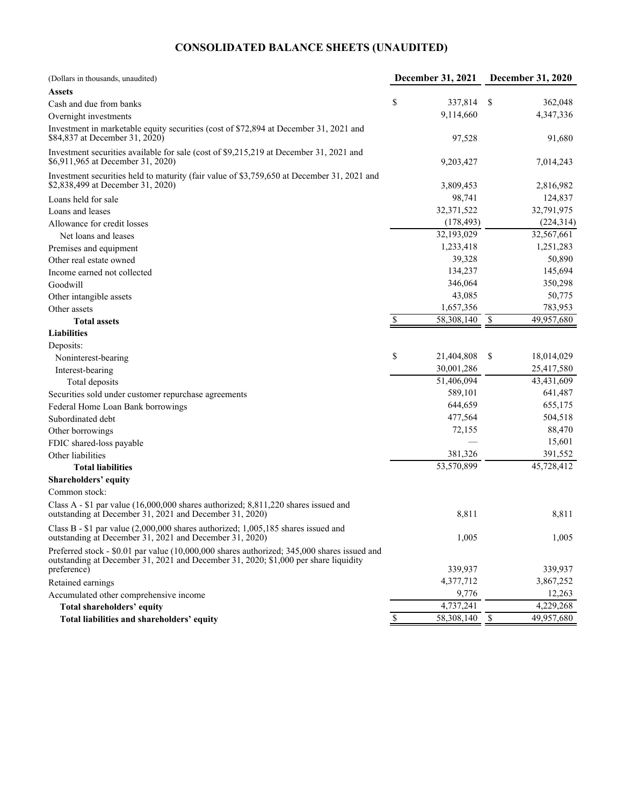### **CONSOLIDATED BALANCE SHEETS (UNAUDITED)**

| (Dollars in thousands, unaudited)                                                                                                                                                  | <b>December 31, 2021</b> | <b>December 31, 2020</b> |
|------------------------------------------------------------------------------------------------------------------------------------------------------------------------------------|--------------------------|--------------------------|
| <b>Assets</b>                                                                                                                                                                      |                          |                          |
| Cash and due from banks                                                                                                                                                            | \$<br>337,814            | \$<br>362,048            |
| Overnight investments                                                                                                                                                              | 9,114,660                | 4,347,336                |
| Investment in marketable equity securities (cost of \$72,894 at December 31, 2021 and<br>\$84,837 at December 31, 2020)                                                            | 97,528                   | 91,680                   |
| Investment securities available for sale (cost of \$9,215,219 at December 31, 2021 and<br>\$6,911,965 at December 31, 2020)                                                        | 9,203,427                | 7,014,243                |
| Investment securities held to maturity (fair value of \$3,759,650 at December 31, 2021 and<br>\$2,838,499 at December 31, 2020)                                                    | 3,809,453                | 2,816,982                |
| Loans held for sale                                                                                                                                                                | 98,741                   | 124,837                  |
| Loans and leases                                                                                                                                                                   | 32,371,522               | 32,791,975               |
| Allowance for credit losses                                                                                                                                                        | (178, 493)               | (224, 314)               |
| Net loans and leases                                                                                                                                                               | 32,193,029               | 32,567,661               |
| Premises and equipment                                                                                                                                                             | 1,233,418                | 1,251,283                |
| Other real estate owned                                                                                                                                                            | 39,328                   | 50,890                   |
| Income earned not collected                                                                                                                                                        | 134,237                  | 145,694                  |
| Goodwill                                                                                                                                                                           | 346,064                  | 350,298                  |
| Other intangible assets                                                                                                                                                            | 43,085                   | 50,775                   |
| Other assets                                                                                                                                                                       | 1,657,356                | 783,953                  |
| <b>Total assets</b>                                                                                                                                                                | \$<br>58,308,140         | \$<br>49,957,680         |
| <b>Liabilities</b>                                                                                                                                                                 |                          |                          |
| Deposits:                                                                                                                                                                          |                          |                          |
| Noninterest-bearing                                                                                                                                                                | \$<br>21,404,808         | \$<br>18,014,029         |
| Interest-bearing                                                                                                                                                                   | 30,001,286               | 25,417,580               |
| Total deposits                                                                                                                                                                     | 51,406,094               | 43,431,609               |
| Securities sold under customer repurchase agreements                                                                                                                               | 589,101                  | 641,487                  |
| Federal Home Loan Bank borrowings                                                                                                                                                  | 644,659                  | 655,175                  |
| Subordinated debt                                                                                                                                                                  | 477,564                  | 504,518                  |
| Other borrowings                                                                                                                                                                   | 72,155                   | 88,470                   |
| FDIC shared-loss payable                                                                                                                                                           |                          | 15,601                   |
| Other liabilities                                                                                                                                                                  | 381,326                  | 391,552                  |
| <b>Total liabilities</b>                                                                                                                                                           | 53,570,899               | 45,728,412               |
| Shareholders' equity                                                                                                                                                               |                          |                          |
| Common stock:                                                                                                                                                                      |                          |                          |
| Class A - $$1$ par value (16,000,000 shares authorized; 8,811,220 shares issued and<br>outstanding at December 31, 2021 and December 31, 2020)                                     | 8,811                    | 8,811                    |
| Class B - \$1 par value (2,000,000 shares authorized; 1,005,185 shares issued and<br>outstanding at December 31, 2021 and December 31, 2020)                                       | 1,005                    | 1,005                    |
| Preferred stock - \$0.01 par value (10,000,000 shares authorized; 345,000 shares issued and<br>outstanding at December 31, 2021 and December 31, 2020; \$1,000 per share liquidity |                          |                          |
| preference)                                                                                                                                                                        | 339,937                  | 339,937                  |
| Retained earnings                                                                                                                                                                  | 4,377,712                | 3,867,252                |
| Accumulated other comprehensive income                                                                                                                                             | 9,776                    | 12,263                   |
| Total shareholders' equity                                                                                                                                                         | 4,737,241                | 4,229,268                |
| Total liabilities and shareholders' equity                                                                                                                                         | 58,308,140               | \$<br>49,957,680         |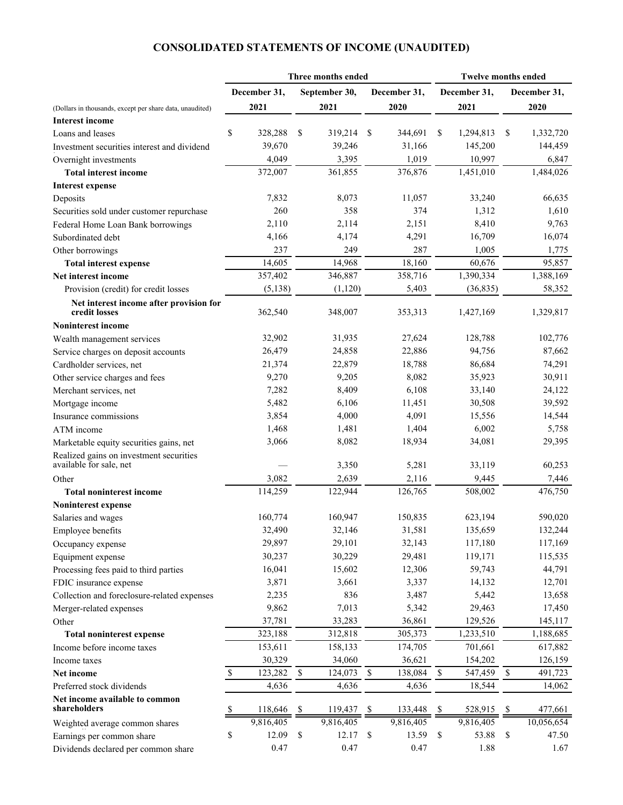### **CONSOLIDATED STATEMENTS OF INCOME (UNAUDITED)**

|                                                          | Three months ended        |              |             | <b>Twelve months ended</b> |              |               |              |              |             |              |
|----------------------------------------------------------|---------------------------|--------------|-------------|----------------------------|--------------|---------------|--------------|--------------|-------------|--------------|
|                                                          |                           | December 31, |             | September 30,              |              | December 31,  |              | December 31, |             | December 31, |
| (Dollars in thousands, except per share data, unaudited) |                           | 2021         |             | 2021                       |              | 2020          |              | 2021         |             | 2020         |
| <b>Interest income</b>                                   |                           |              |             |                            |              |               |              |              |             |              |
| Loans and leases                                         | \$                        | 328,288      | S           | 319,214                    | -S           | 344,691       | \$           | 1,294,813    | \$          | 1,332,720    |
| Investment securities interest and dividend              |                           | 39,670       |             | 39,246                     |              | 31,166        |              | 145,200      |             | 144,459      |
| Overnight investments                                    |                           | 4,049        |             | 3,395                      |              | 1,019         |              | 10,997       |             | 6,847        |
| <b>Total interest income</b>                             |                           | 372,007      |             | 361,855                    |              | 376,876       |              | 1,451,010    |             | 1,484,026    |
| <b>Interest expense</b>                                  |                           |              |             |                            |              |               |              |              |             |              |
| Deposits                                                 |                           | 7,832        |             | 8,073                      |              | 11,057        |              | 33,240       |             | 66,635       |
| Securities sold under customer repurchase                |                           | 260          |             | 358                        |              | 374           |              | 1,312        |             | 1,610        |
| Federal Home Loan Bank borrowings                        |                           | 2,110        |             | 2,114                      |              | 2,151         |              | 8,410        |             | 9,763        |
| Subordinated debt                                        |                           | 4,166        |             | 4,174                      |              | 4,291         |              | 16,709       |             | 16,074       |
| Other borrowings                                         |                           | 237          |             | 249                        |              | 287           |              | 1,005        |             | 1,775        |
| <b>Total interest expense</b>                            |                           | 14,605       |             | 14,968                     |              | 18,160        |              | 60,676       |             | 95,857       |
| Net interest income                                      |                           | 357,402      |             | 346,887                    |              | 358,716       |              | 1,390,334    |             | 1,388,169    |
| Provision (credit) for credit losses                     |                           | (5, 138)     |             | (1,120)                    |              | 5,403         |              | (36, 835)    |             | 58,352       |
| Net interest income after provision for<br>credit losses |                           | 362,540      |             | 348,007                    |              | 353,313       |              | 1,427,169    |             | 1,329,817    |
| <b>Noninterest income</b>                                |                           |              |             |                            |              |               |              |              |             |              |
| Wealth management services                               |                           | 32,902       |             | 31,935                     |              | 27,624        |              | 128,788      |             | 102,776      |
| Service charges on deposit accounts                      |                           | 26,479       |             | 24,858                     |              | 22,886        |              | 94,756       |             | 87,662       |
| Cardholder services, net                                 |                           | 21,374       |             | 22,879                     |              | 18,788        |              | 86,684       |             | 74,291       |
| Other service charges and fees                           |                           | 9,270        |             | 9,205                      |              | 8,082         |              | 35,923       |             | 30,911       |
| Merchant services, net                                   |                           | 7,282        |             | 8,409                      |              | 6,108         |              | 33,140       |             | 24,122       |
| Mortgage income                                          |                           | 5,482        |             | 6,106                      |              | 11,451        |              | 30,508       |             | 39,592       |
| Insurance commissions                                    |                           | 3,854        |             | 4,000                      |              | 4,091         |              | 15,556       |             | 14,544       |
| ATM income                                               |                           | 1,468        |             | 1,481                      |              | 1,404         |              | 6,002        |             | 5,758        |
| Marketable equity securities gains, net                  |                           | 3,066        |             | 8,082                      |              | 18,934        |              | 34,081       |             | 29,395       |
| Realized gains on investment securities                  |                           |              |             |                            |              |               |              |              |             |              |
| available for sale, net                                  |                           |              |             | 3,350                      |              | 5,281         |              | 33,119       |             | 60,253       |
| Other                                                    |                           | 3,082        |             | 2,639                      |              | 2,116         |              | 9,445        |             | 7,446        |
| <b>Total noninterest income</b>                          |                           | 114,259      |             | 122,944                    |              | 126,765       |              | 508,002      |             | 476,750      |
| Noninterest expense                                      |                           |              |             |                            |              |               |              |              |             |              |
| Salaries and wages                                       |                           | 160,774      |             | 160,947                    |              | 150,835       |              | 623,194      |             | 590,020      |
| Employee benefits                                        |                           | 32,490       |             | 32,146                     |              | 31,581        |              | 135,659      |             | 132,244      |
| Occupancy expense                                        |                           | 29,897       |             | 29,101                     |              | 32,143        |              | 117,180      |             | 117,169      |
| Equipment expense                                        |                           | 30,237       |             | 30,229                     |              | 29,481        |              | 119,171      |             | 115,535      |
| Processing fees paid to third parties                    |                           | 16,041       |             | 15,602                     |              | 12,306        |              | 59,743       |             | 44,791       |
| FDIC insurance expense                                   |                           | 3,871        |             | 3,661                      |              | 3,337         |              | 14,132       |             | 12,701       |
| Collection and foreclosure-related expenses              |                           | 2,235        |             | 836                        |              | 3,487         |              | 5,442        |             | 13,658       |
| Merger-related expenses                                  |                           | 9,862        |             | 7,013                      |              | 5,342         |              | 29,463       |             | 17,450       |
| Other                                                    |                           | 37,781       |             | 33,283                     |              | 36,861        |              | 129,526      |             | 145,117      |
| <b>Total noninterest expense</b>                         |                           | 323,188      |             | 312,818                    |              | 305,373       |              | 1,233,510    |             | 1,188,685    |
| Income before income taxes                               |                           | 153,611      |             | 158,133                    |              | 174,705       |              | 701,661      |             | 617,882      |
| Income taxes                                             |                           | 30,329       |             | 34,060                     |              | 36,621        |              | 154,202      |             | 126,159      |
| Net income                                               | $\boldsymbol{\mathsf{S}}$ | 123,282      | $\mathbb S$ | 124,073                    | $\mathbb{S}$ | 138,084       | $\mathbb S$  | 547,459      | $\mathbb S$ | 491,723      |
| Preferred stock dividends                                |                           | 4,636        |             | 4,636                      |              | 4,636         |              | 18,544       |             | 14,062       |
| Net income available to common<br>shareholders           | Y.                        | 118,646      | \$          | 119,437                    |              | -S<br>133,448 | \$           | 528,915      | \$          | 477,661      |
| Weighted average common shares                           |                           | 9,816,405    |             | 9,816,405                  |              | 9,816,405     |              | 9,816,405    |             | 10,056,654   |
| Earnings per common share                                | \$                        | 12.09        | \$          | 12.17                      |              | \$<br>13.59   | $\mathbb{S}$ | 53.88        | \$          | 47.50        |
| Dividends declared per common share                      |                           | 0.47         |             | 0.47                       |              | 0.47          |              | 1.88         |             | 1.67         |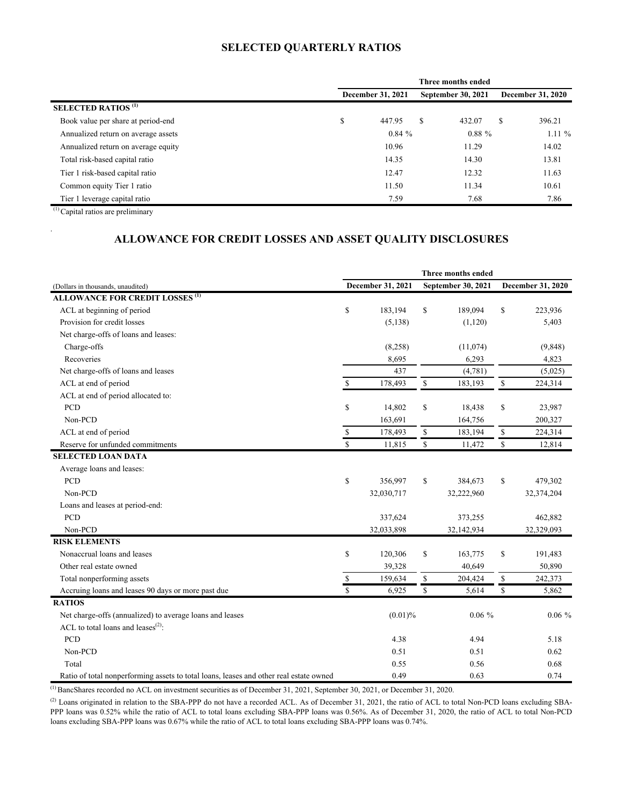# **SELECTED QUARTERLY RATIOS**

<span id="page-2-0"></span>

|                                       | Three months ended |        |   |                           |                          |          |  |  |  |  |
|---------------------------------------|--------------------|--------|---|---------------------------|--------------------------|----------|--|--|--|--|
|                                       | December 31, 2021  |        |   | <b>September 30, 2021</b> | <b>December 31, 2020</b> |          |  |  |  |  |
| <b>SELECTED RATIOS</b> <sup>(1)</sup> |                    |        |   |                           |                          |          |  |  |  |  |
| Book value per share at period-end    | \$                 | 447.95 | S | 432.07                    | S                        | 396.21   |  |  |  |  |
| Annualized return on average assets   |                    | 0.84%  |   | $0.88 \%$                 |                          | $1.11\%$ |  |  |  |  |
| Annualized return on average equity   |                    | 10.96  |   | 11.29                     |                          | 14.02    |  |  |  |  |
| Total risk-based capital ratio        |                    | 14.35  |   | 14.30                     |                          | 13.81    |  |  |  |  |
| Tier 1 risk-based capital ratio       |                    | 12.47  |   | 12.32                     |                          | 11.63    |  |  |  |  |
| Common equity Tier 1 ratio            |                    | 11.50  |   | 11.34                     |                          | 10.61    |  |  |  |  |
| Tier 1 leverage capital ratio         |                    | 7.59   |   | 7.68                      |                          | 7.86     |  |  |  |  |

(1) Capital ratios are preliminary

.

### **ALLOWANCE FOR CREDIT LOSSES AND ASSET QUALITY DISCLOSURES**

|                                                                                        | Three months ended |                   |              |                    |                                             |            |  |
|----------------------------------------------------------------------------------------|--------------------|-------------------|--------------|--------------------|---------------------------------------------|------------|--|
| (Dollars in thousands, unaudited)                                                      |                    | December 31, 2021 |              | September 30, 2021 | December 31, 2020                           |            |  |
| <b>ALLOWANCE FOR CREDIT LOSSES<sup>(1)</sup></b>                                       |                    |                   |              |                    |                                             |            |  |
| ACL at beginning of period                                                             | $\mathbb{S}$       | 183,194           | \$           | 189,094            | \$                                          | 223,936    |  |
| Provision for credit losses                                                            |                    | (5, 138)          |              | (1,120)            |                                             | 5,403      |  |
| Net charge-offs of loans and leases:                                                   |                    |                   |              |                    |                                             |            |  |
| Charge-offs                                                                            |                    | (8,258)           |              | (11,074)           |                                             | (9,848)    |  |
| Recoveries                                                                             |                    | 8,695             |              | 6,293              |                                             | 4,823      |  |
| Net charge-offs of loans and leases                                                    |                    | 437               |              | (4,781)            |                                             | (5,025)    |  |
| ACL at end of period                                                                   | $\mathbb{S}$       | 178,493           | $\mathbb{S}$ | 183,193            | $\mathbb S$                                 | 224,314    |  |
| ACL at end of period allocated to:                                                     |                    |                   |              |                    |                                             |            |  |
| <b>PCD</b>                                                                             | \$                 | 14,802            | \$           | 18,438             | \$                                          | 23,987     |  |
| Non-PCD                                                                                |                    | 163,691           |              | 164,756            |                                             | 200,327    |  |
| ACL at end of period                                                                   | \$                 | 178,493           | \$           | 183,194            | $\mathbb{S}% _{n}^{X\rightarrow\mathbb{R}}$ | 224,314    |  |
| Reserve for unfunded commitments                                                       | \$                 | 11,815            | \$           | 11,472             | \$                                          | 12,814     |  |
| <b>SELECTED LOAN DATA</b>                                                              |                    |                   |              |                    |                                             |            |  |
| Average loans and leases:                                                              |                    |                   |              |                    |                                             |            |  |
| PCD                                                                                    | $\mathbb{S}$       | 356,997           | \$           | 384,673            | $\mathbb{S}$                                | 479,302    |  |
| Non-PCD                                                                                |                    | 32,030,717        |              | 32,222,960         |                                             | 32,374,204 |  |
| Loans and leases at period-end:                                                        |                    |                   |              |                    |                                             |            |  |
| PCD                                                                                    |                    | 337,624           |              | 373,255            |                                             | 462,882    |  |
| Non-PCD                                                                                |                    | 32,033,898        |              | 32,142,934         |                                             | 32,329,093 |  |
| <b>RISK ELEMENTS</b>                                                                   |                    |                   |              |                    |                                             |            |  |
| Nonaccrual loans and leases                                                            | $\mathbb{S}$       | 120,306           | \$           | 163,775            | \$                                          | 191,483    |  |
| Other real estate owned                                                                |                    | 39,328            |              | 40,649             |                                             | 50,890     |  |
| Total nonperforming assets                                                             | \$                 | 159,634           | \$           | 204,424            | \$                                          | 242,373    |  |
| Accruing loans and leases 90 days or more past due                                     | $\mathbf{\hat{S}}$ | 6,925             | \$           | 5,614              | $\mathbb{S}$                                | 5,862      |  |
| <b>RATIOS</b>                                                                          |                    |                   |              |                    |                                             |            |  |
| Net charge-offs (annualized) to average loans and leases                               |                    |                   | (0.01)%      |                    |                                             | $0.06 \%$  |  |
| ACL to total loans and leases <sup>(2)</sup> :                                         |                    |                   |              |                    |                                             |            |  |
| PCD                                                                                    |                    | 4.38              |              | 4.94               |                                             | 5.18       |  |
| Non-PCD                                                                                |                    | 0.51              |              | 0.51               |                                             | 0.62       |  |
| Total                                                                                  |                    | 0.55              |              | 0.56               |                                             | 0.68       |  |
| Ratio of total nonperforming assets to total loans, leases and other real estate owned |                    | 0.49              |              | 0.63               |                                             | 0.74       |  |

 $^{(1)}$ BancShares recorded no ACL on investment securities as of December 31, 2021, September 30, 2021, or December 31, 2020.

(2) Loans originated in relation to the SBA-PPP do not have a recorded ACL. As of December 31, 2021, the ratio of ACL to total Non-PCD loans excluding SBA-PPP loans was 0.52% while the ratio of ACL to total loans excluding SBA-PPP loans was 0.56%. As of December 31, 2020, the ratio of ACL to total Non-PCD loans excluding SBA-PPP loans was 0.67% while the ratio of ACL to total loans excluding SBA-PPP loans was 0.74%.